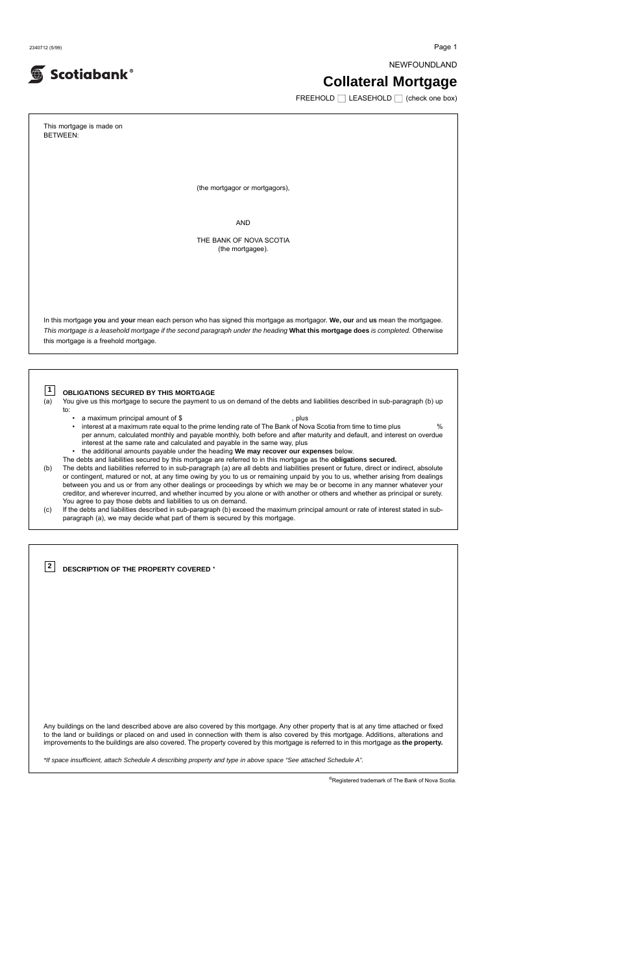2340712 (5/99) Page 1

Scotiabank®

NEWFOUNDLAND

# **Collateral Mortgage**

 $FREFHOLD$  LEASEHOLD  $\Box$  (check one box)

This mortgage is made on BETWEEN: (the mortgagor or mortgagors), AND THE BANK OF NOVA SCOTIA (the mortgagee). In this mortgage **you** and **your** mean each person who has signed this mortgage as mortgagor. **We, our** and **us** mean the mortgagee. This mortgage is a leasehold mortgage if the second paragraph under the heading **What this mortgage does** is completed. Otherwise this mortgage is a freehold mortgage. **OBLIGATIONS SECURED BY THIS MORTGAGE** (a) You give us this mortgage to secure the payment to us on demand of the debts and liabilities described in sub-paragraph (b) up to: • a maximum principal amount of \$ , plus • interest at a maximum rate equal to the prime lending rate of The Bank of Nova Scotia from time to time plus % per annum, calculated monthly and payable monthly, both before and after maturity and default, and interest on overdue interest at the same rate and calculated and payable in the same way, plus • the additional amounts payable under the heading **We may recover our expenses** below. The debts and liabilities secured by this mortgage are referred to in this mortgage as the **obligations secured.** (b) The debts and liabilities referred to in sub-paragraph (a) are all debts and liabilities present or future, direct or indirect, absolute or contingent, matured or not, at any time owing by you to us or remaining unpaid by you to us, whether arising from dealings between you and us or from any other dealings or proceedings by which we may be or become in any manner whatever your creditor, and wherever incurred, and whether incurred by you alone or with another or others and whether as principal or surety. You agree to pay those debts and liabilities to us on demand. (c) If the debts and liabilities described in sub-paragraph (b) exceed the maximum principal amount or rate of interest stated in subparagraph (a), we may decide what part of them is secured by this mortgage. **1**

Any buildings on the land described above are also covered by this mortgage. Any other property that is at any time attached or fixed to the land or buildings or placed on and used in connection with them is also covered by this mortgage. Additions, alterations and improvements to the buildings are also covered. The property covered by this mortgage is referred to in this mortgage as **the property.**

**DESCRIPTION OF THE PROPERTY COVERED** \* **2**

\*If space insufficient, attach Schedule A describing property and type in above space "See attached Schedule A".

®Registered trademark of The Bank of Nova Scotia.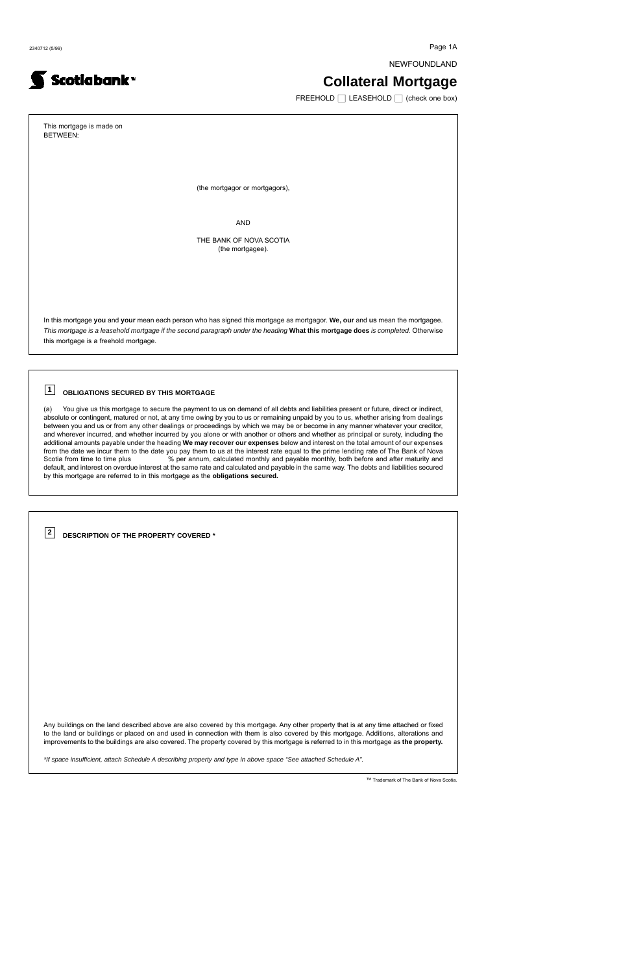2340712 (5/99) Page 1A

NEWFOUNDLAND

## **Collateral Mortgage**

 $FREEHOLD$  LEASEHOLD  $\Box$  (check one box)

This mortgage is made on BETWEEN: (the mortgagor or mortgagors), AND THE BANK OF NOVA SCOTIA (the mortgagee). In this mortgage **you** and **your** mean each person who has signed this mortgage as mortgagor. **We, our** and **us** mean the mortgagee. This mortgage is a leasehold mortgage if the second paragraph under the heading **What this mortgage does** is completed. Otherwise this mortgage is a freehold mortgage.

#### **OBLIGATIONS SECURED BY THIS MORTGAGE 1**

(a) You give us this mortgage to secure the payment to us on demand of all debts and liabilities present or future, direct or indirect, absolute or contingent, matured or not, at any time owing by you to us or remaining unpaid by you to us, whether arising from dealings between you and us or from any other dealings or proceedings by which we may be or become in any manner whatever your creditor, and wherever incurred, and whether incurred by you alone or with another or others and whether as principal or surety, including the additional amounts payable under the heading **We may recover our expenses** below and interest on the total amount of our expenses from the date we incur them to the date you pay them to us at the interest rate equal to the prime lending rate of The Bank of Nova Scotia from time to time plus  $\%$  per annum, calculated monthly and payable monthly, both before and after maturity and default, and interest on overdue interest at the same rate and calculated and payable in the same way. The debts and liabilities secured by this mortgage are referred to in this mortgage as the **obligations secured.**

Any buildings on the land described above are also covered by this mortgage. Any other property that is at any time attached or fixed to the land or buildings or placed on and used in connection with them is also covered by this mortgage. Additions, alterations and improvements to the buildings are also covered. The property covered by this mortgage is referred to in this mortgage as **the property.**

**DESCRIPTION OF THE PROPERTY COVERED \* 2**

Scotiabank<sup>-</sup>

\*If space insufficient, attach Schedule A describing property and type in above space "See attached Schedule A".

™ Trademark of The Bank of Nova Scotia.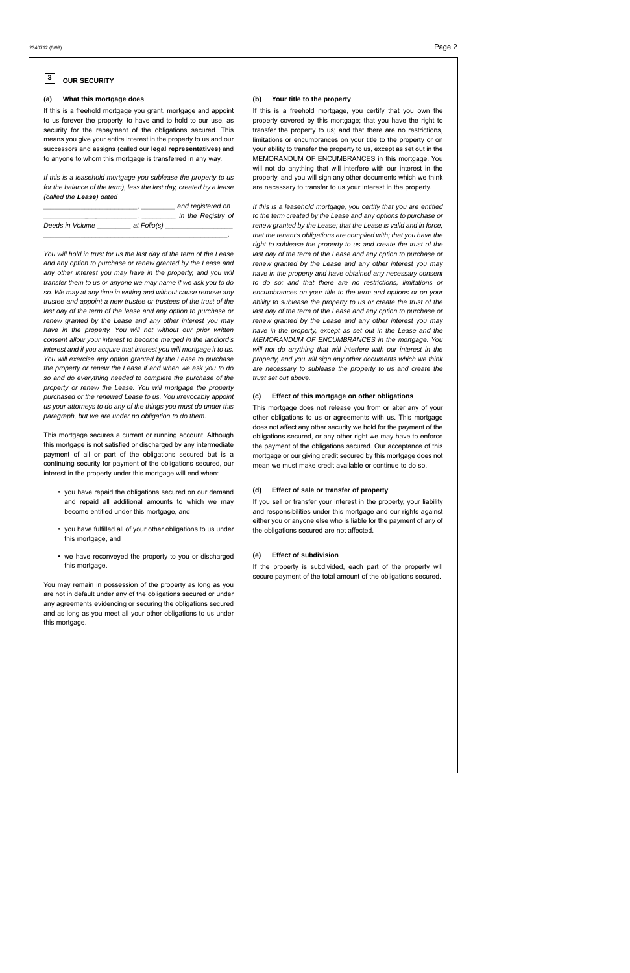#### **(a) What this mortgage does**

If this is a freehold mortgage you grant, mortgage and appoint to us forever the property, to have and to hold to our use, as security for the repayment of the obligations secured. This means you give your entire interest in the property to us and our successors and assigns (called our **legal representatives**) and to anyone to whom this mortgage is transferred in any way.

If this is a leasehold mortgage you sublease the property to us for the balance of the term), less the last day, created by a lease (called the **Lease**) dated

|                 |             | and registered on  |
|-----------------|-------------|--------------------|
|                 |             | in the Registry of |
| Deeds in Volume | at Folio(s) |                    |
|                 |             |                    |

You will hold in trust for us the last day of the term of the Lease and any option to purchase or renew granted by the Lease and any other interest you may have in the property, and you will transfer them to us or anyone we may name if we ask you to do so. We may at any time in writing and without cause remove any trustee and appoint a new trustee or trustees of the trust of the last day of the term of the lease and any option to purchase or renew granted by the Lease and any other interest you may have in the property. You will not without our prior written consent allow your interest to become merged in the landlord's interest and if you acquire that interest you will mortgage it to us. You will exercise any option granted by the Lease to purchase the property or renew the Lease if and when we ask you to do so and do everything needed to complete the purchase of the property or renew the Lease. You will mortgage the property purchased or the renewed Lease to us. You irrevocably appoint us your attorneys to do any of the things you must do under this paragraph, but we are under no obligation to do them.

This mortgage secures a current or running account. Although this mortgage is not satisfied or discharged by any intermediate payment of all or part of the obligations secured but is a continuing security for payment of the obligations secured, our interest in the property under this mortgage will end when:

- you have repaid the obligations secured on our demand and repaid all additional amounts to which we may become entitled under this mortgage, and
- you have fulfilled all of your other obligations to us under this mortgage, and
- we have reconveyed the property to you or discharged this mortgage.

You may remain in possession of the property as long as you are not in default under any of the obligations secured or under any agreements evidencing or securing the obligations secured and as long as you meet all your other obligations to us under this mortgage.

#### **OUR SECURITY 3**

#### **(b) Your title to the property**

If this is a freehold mortgage, you certify that you own the property covered by this mortgage; that you have the right to transfer the property to us; and that there are no restrictions, limitations or encumbrances on your title to the property or on your ability to transfer the property to us, except as set out in the MEMORANDUM OF ENCUMBRANCES in this mortgage. You will not do anything that will interfere with our interest in the property, and you will sign any other documents which we think are necessary to transfer to us your interest in the property.

If this is a leasehold mortgage, you certify that you are entitled to the term created by the Lease and any options to purchase or renew granted by the Lease; that the Lease is valid and in force; that the tenant's obligations are complied with; that you have the right to sublease the property to us and create the trust of the last day of the term of the Lease and any option to purchase or renew granted by the Lease and any other interest you may have in the property and have obtained any necessary consent to do so; and that there are no restrictions, limitations or encumbrances on your title to the term and options or on your ability to sublease the property to us or create the trust of the last day of the term of the Lease and any option to purchase or renew granted by the Lease and any other interest you may have in the property, except as set out in the Lease and the MEMORANDUM OF ENCUMBRANCES in the mortgage. You will not do anything that will interfere with our interest in the property, and you will sign any other documents which we think are necessary to sublease the property to us and create the trust set out above.

## **(c) Effect of this mortgage on other obligations**

This mortgage does not release you from or alter any of your other obligations to us or agreements with us. This mortgage does not affect any other security we hold for the payment of the obligations secured, or any other right we may have to enforce the payment of the obligations secured. Our acceptance of this mortgage or our giving credit secured by this mortgage does not mean we must make credit available or continue to do so.

#### **(d) Effect of sale or transfer of property**

If you sell or transfer your interest in the property, your liability and responsibilities under this mortgage and our rights against either you or anyone else who is liable for the payment of any of the obligations secured are not affected.

#### **(e) Effect of subdivision**

If the property is subdivided, each part of the property will secure payment of the total amount of the obligations secured.

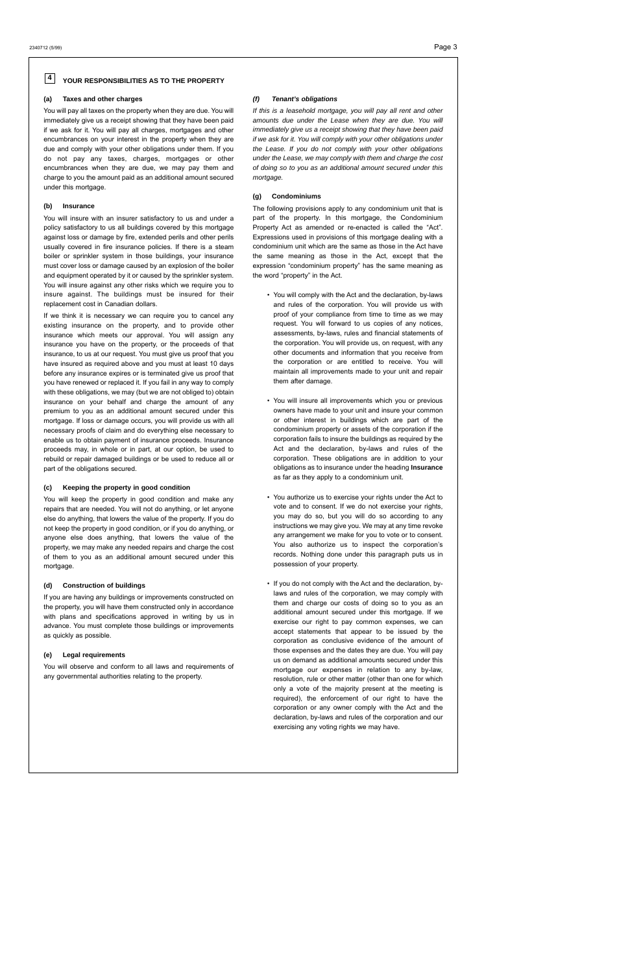## **(a) Taxes and other charges**

You will pay all taxes on the property when they are due. You will immediately give us a receipt showing that they have been paid if we ask for it. You will pay all charges, mortgages and other encumbrances on your interest in the property when they are due and comply with your other obligations under them. If you do not pay any taxes, charges, mortgages or other encumbrances when they are due, we may pay them and charge to you the amount paid as an additional amount secured under this mortgage.

#### **(b) Insurance**

You will insure with an insurer satisfactory to us and under a policy satisfactory to us all buildings covered by this mortgage against loss or damage by fire, extended perils and other perils usually covered in fire insurance policies. If there is a steam boiler or sprinkler system in those buildings, your insurance must cover loss or damage caused by an explosion of the boiler and equipment operated by it or caused by the sprinkler system. You will insure against any other risks which we require you to insure against. The buildings must be insured for their replacement cost in Canadian dollars.

If we think it is necessary we can require you to cancel any existing insurance on the property, and to provide other insurance which meets our approval. You will assign any insurance you have on the property, or the proceeds of that insurance, to us at our request. You must give us proof that you have insured as required above and you must at least 10 days before any insurance expires or is terminated give us proof that you have renewed or replaced it. If you fail in any way to comply with these obligations, we may (but we are not obliged to) obtain insurance on your behalf and charge the amount of any premium to you as an additional amount secured under this mortgage. If loss or damage occurs, you will provide us with all necessary proofs of claim and do everything else necessary to enable us to obtain payment of insurance proceeds. Insurance proceeds may, in whole or in part, at our option, be used to rebuild or repair damaged buildings or be used to reduce all or part of the obligations secured.

#### **(c) Keeping the property in good condition**

You will keep the property in good condition and make any repairs that are needed. You will not do anything, or let anyone else do anything, that lowers the value of the property. If you do not keep the property in good condition, or if you do anything, or anyone else does anything, that lowers the value of the property, we may make any needed repairs and charge the cost of them to you as an additional amount secured under this mortgage.

## **(d) Construction of buildings**

If you are having any buildings or improvements constructed on the property, you will have them constructed only in accordance with plans and specifications approved in writing by us in advance. You must complete those buildings or improvements as quickly as possible.

## **(e) Legal requirements**

You will observe and conform to all laws and requirements of any governmental authorities relating to the property.

## **(f) Tenant's obligations**

#### **YOUR RESPONSIBILITIES AS TO THE PROPERTY 4**

If this is a leasehold mortgage, you will pay all rent and other amounts due under the Lease when they are due. You will immediately give us a receipt showing that they have been paid if we ask for it. You will comply with your other obligations under the Lease. If you do not comply with your other obligations under the Lease, we may comply with them and charge the cost of doing so to you as an additional amount secured under this mortgage.

## **(g) Condominiums**

The following provisions apply to any condominium unit that is part of the property. In this mortgage, the Condominium Property Act as amended or re-enacted is called the "Act". Expressions used in provisions of this mortgage dealing with a condominium unit which are the same as those in the Act have the same meaning as those in the Act, except that the expression "condominium property" has the same meaning as the word "property" in the Act.

- You will comply with the Act and the declaration, by-laws and rules of the corporation. You will provide us with proof of your compliance from time to time as we may request. You will forward to us copies of any notices, assessments, by-laws, rules and financial statements of the corporation. You will provide us, on request, with any other documents and information that you receive from the corporation or are entitled to receive. You will maintain all improvements made to your unit and repair them after damage.
- You will insure all improvements which you or previous owners have made to your unit and insure your common or other interest in buildings which are part of the condominium property or assets of the corporation if the corporation fails to insure the buildings as required by the Act and the declaration, by-laws and rules of the corporation. These obligations are in addition to your obligations as to insurance under the heading **Insurance** as far as they apply to a condominium unit.
- You authorize us to exercise your rights under the Act to vote and to consent. If we do not exercise your rights, you may do so, but you will do so according to any instructions we may give you. We may at any time revoke any arrangement we make for you to vote or to consent. You also authorize us to inspect the corporation's records. Nothing done under this paragraph puts us in possession of your property.
- If you do not comply with the Act and the declaration, bylaws and rules of the corporation, we may comply with them and charge our costs of doing so to you as an additional amount secured under this mortgage. If we exercise our right to pay common expenses, we can accept statements that appear to be issued by the corporation as conclusive evidence of the amount of those expenses and the dates they are due. You will pay us on demand as additional amounts secured under this mortgage our expenses in relation to any by-law, resolution, rule or other matter (other than one for which only a vote of the majority present at the meeting is required), the enforcement of our right to have the corporation or any owner comply with the Act and the

declaration, by-laws and rules of the corporation and our exercising any voting rights we may have.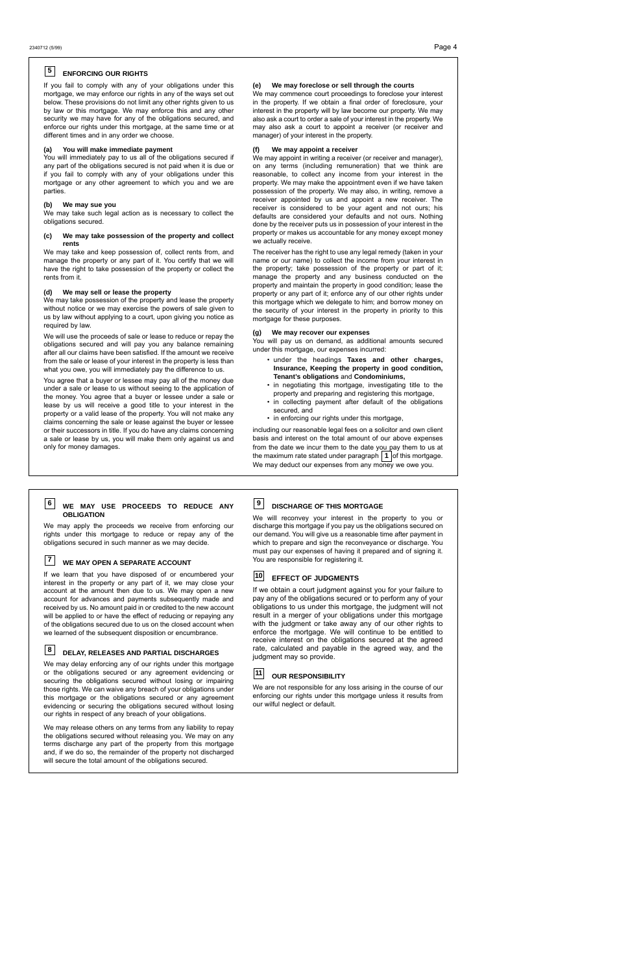If you fail to comply with any of your obligations under this mortgage, we may enforce our rights in any of the ways set out below. These provisions do not limit any other rights given to us by law or this mortgage. We may enforce this and any other security we may have for any of the obligations secured, and enforce our rights under this mortgage, at the same time or at different times and in any order we choose.

#### **(a) You will make immediate payment**

You will immediately pay to us all of the obligations secured if any part of the obligations secured is not paid when it is due or if you fail to comply with any of your obligations under this mortgage or any other agreement to which you and we are parties.

#### **(b) We may sue you**

We may take such legal action as is necessary to collect the obligations secured.

#### **(c) We may take possession of the property and collect rents**

We may take and keep possession of, collect rents from, and manage the property or any part of it. You certify that we will have the right to take possession of the property or collect the rents from it.

## **(d) We may sell or lease the property**

We may take possession of the property and lease the property without notice or we may exercise the powers of sale given to us by law without applying to a court, upon giving you notice as required by law.

We will use the proceeds of sale or lease to reduce or repay the obligations secured and will pay you any balance remaining after all our claims have been satisfied. If the amount we receive from the sale or lease of your interest in the property is less than what you owe, you will immediately pay the difference to us.

You agree that a buyer or lessee may pay all of the money due under a sale or lease to us without seeing to the application of the money. You agree that a buyer or lessee under a sale or lease by us will receive a good title to your interest in the property or a valid lease of the property. You will not make any claims concerning the sale or lease against the buyer or lessee or their successors in title. If you do have any claims concerning a sale or lease by us, you will make them only against us and only for money damages.

including our reasonable legal fees on a solicitor and own client basis and interest on the total amount of our above expenses from the date we incur them to the date you pay them to us at the maximum rate stated under paragraph  $\vert$  1  $\vert$  of this mortgage. We may deduct our expenses from any money we owe you.

#### **(e) We may foreclose or sell through the courts**

## **ENFORCING OUR RIGHTS 5**

We may commence court proceedings to foreclose your interest in the property. If we obtain a final order of foreclosure, your interest in the property will by law become our property. We may also ask a court to order a sale of your interest in the property. We may also ask a court to appoint a receiver (or receiver and manager) of your interest in the property.

#### **(f) We may appoint a receiver**

We may delay enforcing any of our rights under this mortgage or the obligations secured or any agreement evidencing or securing the obligations secured without losing or impairing those rights. We can waive any breach of your obligations under this mortgage or the obligations secured or any agreement evidencing or securing the obligations secured without losing ur rights in respect of any breach of your obligations

We may appoint in writing a receiver (or receiver and manager), on any terms (including remuneration) that we think are reasonable, to collect any income from your interest in the property. We may make the appointment even if we have taken possession of the property. We may also, in writing, remove a receiver appointed by us and appoint a new receiver. The receiver is considered to be your agent and not ours; his defaults are considered your defaults and not ours. Nothing done by the receiver puts us in possession of your interest in the property or makes us accountable for any money except money we actually receive.

The receiver has the right to use any legal remedy (taken in your name or our name) to collect the income from your interest in the property; take possession of the property or part of it; manage the property and any business conducted on the property and maintain the property in good condition; lease the property or any part of it; enforce any of our other rights under this mortgage which we delegate to him; and borrow money on the security of your interest in the property in priority to this mortgage for these purposes.

## **(g) We may recover our expenses**

You will pay us on demand, as additional amounts secured under this mortgage, our expenses incurred:

- under the headings **Taxes and other charges, Insurance, Keeping the property in good condition, Tenant's obligations** and **Condominiums,**
- in negotiating this mortgage, investigating title to the property and preparing and registering this mortgage,
- in collecting payment after default of the obligations secured, and
- in enforcing our rights under this mortgage,

We may apply the proceeds we receive from enforcing our rights under this mortgage to reduce or repay any of the obligations secured in such manner as we may decide.

If we learn that you have disposed of or encumbered your interest in the property or any part of it, we may close your account at the amount then due to us. We may open a new account for advances and payments subsequently made and received by us. No amount paid in or credited to the new account will be applied to or have the effect of reducing or repaying any of the obligations secured due to us on the closed account when we learned of the subsequent disposition or encumbrance.

#### **WE MAY USE PROCEEDS TO REDUCE ANY OBLIGATION 6**

We may release others on any terms from any liability to repay the obligations secured without releasing you. We may on any terms discharge any part of the property from this mortgage and, if we do so, the remainder of the property not discharged will secure the total amount of the obligations secured.

#### **WE MAY OPEN A SEPARATE ACCOUNT 7**

#### **DELAY, RELEASES AND PARTIAL DISCHARGES 8**

We will reconvey your interest in the property to you or discharge this mortgage if you pay us the obligations secured on our demand. You will give us a reasonable time after payment in which to prepare and sign the reconveyance or discharge. You must pay our expenses of having it prepared and of signing it. You are responsible for registering it.

#### **DISCHARGE OF THIS MORTGAGE 9**

If we obtain a court judgment against you for your failure to pay any of the obligations secured or to perform any of your obligations to us under this mortgage, the judgment will not result in a merger of your obligations under this mortgage with the judgment or take away any of our other rights to enforce the mortgage. We will continue to be entitled to receive interest on the obligations secured at the agreed rate, calculated and payable in the agreed way, and the judgment may so provide.

#### **EFFECT OF JUDGMENTS 10**

#### **OUR RESPONSIBILITY 11**

We are not responsible for any loss arising in the course of our enforcing our rights under this mortgage unless it results from our wilful neglect or default.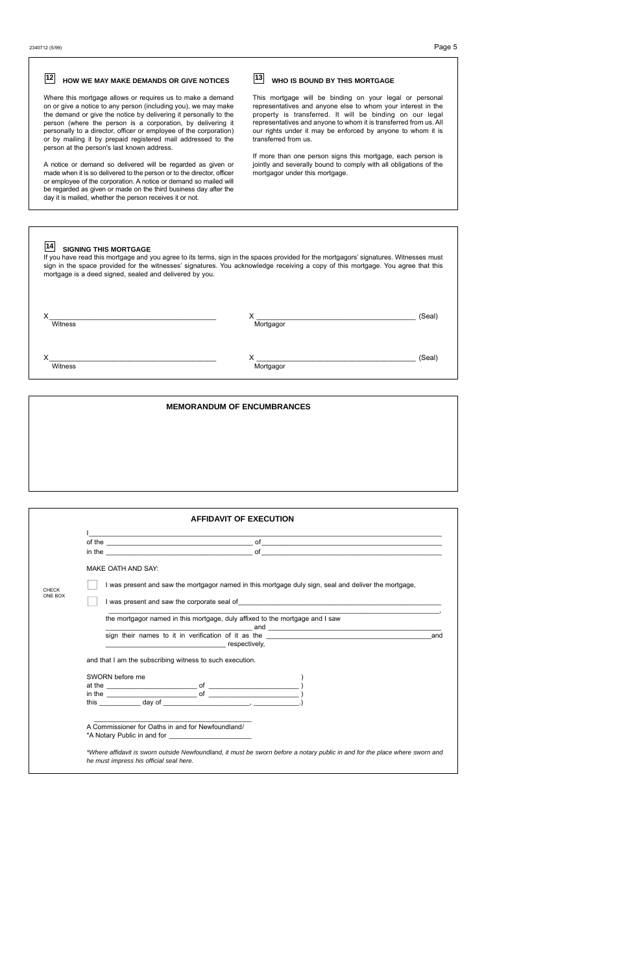| 12<br>HOW WE MAY MAKE DEMANDS OR GIVE NOTICES                                                                                                                                                                                                                                                                                                                                                                                                      | 13<br><b>WHO IS BOUND BY THIS MORTGAGE</b>                                                                                                                                                                                                                                                                                                                                                                                                               |
|----------------------------------------------------------------------------------------------------------------------------------------------------------------------------------------------------------------------------------------------------------------------------------------------------------------------------------------------------------------------------------------------------------------------------------------------------|----------------------------------------------------------------------------------------------------------------------------------------------------------------------------------------------------------------------------------------------------------------------------------------------------------------------------------------------------------------------------------------------------------------------------------------------------------|
| Where this mortgage allows or requires us to make a demand<br>on or give a notice to any person (including you), we may make<br>the demand or give the notice by delivering it personally to the<br>person (where the person is a corporation, by delivering it<br>personally to a director, officer or employee of the corporation)<br>or by mailing it by prepaid registered mail addressed to the<br>person at the person's last known address. | This mortgage will be binding on your legal or personal<br>representatives and anyone else to whom your interest in the<br>property is transferred. It will be binding on our legal<br>representatives and anyone to whom it is transferred from us. All<br>our rights under it may be enforced by anyone to whom it is<br>transferred from us.                                                                                                          |
| A notice or demand so delivered will be regarded as given or<br>made when it is so delivered to the person or to the director, officer<br>or employee of the corporation. A notice or demand so mailed will<br>be regarded as given or made on the third business day after the<br>day it is mailed, whether the person receives it or not.                                                                                                        | If more than one person signs this mortgage, each person is<br>jointly and severally bound to comply with all obligations of the<br>mortgagor under this mortgage.                                                                                                                                                                                                                                                                                       |
|                                                                                                                                                                                                                                                                                                                                                                                                                                                    |                                                                                                                                                                                                                                                                                                                                                                                                                                                          |
| 14<br><b>SIGNING THIS MORTGAGE</b><br>If you have read this mortgage and you agree to its terms, sign in the spaces provided for the mortgagors' signatures. Witnesses must<br>sign in the space provided for the witnesses' signatures. You acknowledge receiving a copy of this mortgage. You agree that this<br>mortgage is a deed signed, sealed and delivered by you.                                                                         |                                                                                                                                                                                                                                                                                                                                                                                                                                                          |
| Witness                                                                                                                                                                                                                                                                                                                                                                                                                                            | (Seal)<br>Mortgagor                                                                                                                                                                                                                                                                                                                                                                                                                                      |
| Witness                                                                                                                                                                                                                                                                                                                                                                                                                                            | (Seal)<br>$\boldsymbol{\mathsf{X}}$ and $\boldsymbol{\mathsf{X}}$ and $\boldsymbol{\mathsf{X}}$ and $\boldsymbol{\mathsf{X}}$ and $\boldsymbol{\mathsf{X}}$ and $\boldsymbol{\mathsf{X}}$ and $\boldsymbol{\mathsf{X}}$ and $\boldsymbol{\mathsf{X}}$ and $\boldsymbol{\mathsf{X}}$ and $\boldsymbol{\mathsf{X}}$ and $\boldsymbol{\mathsf{X}}$ and $\boldsymbol{\mathsf{X}}$ and $\boldsymbol{\mathsf{X}}$ and $\boldsymbol{\mathsf{X}}$ a<br>Mortgagor |

**MEMORANDUM OF ENCUMBRANCES**

|                  | <b>AFFIDAVIT OF EXECUTION</b>                                                                                                                                                                                                  |     |
|------------------|--------------------------------------------------------------------------------------------------------------------------------------------------------------------------------------------------------------------------------|-----|
|                  | <u> 1990 - Johann John Stoff, deutscher Stoff und der Stoff und der Stoff und der Stoff und der Stoff und der Stoff</u>                                                                                                        |     |
|                  | $\mathsf{in\, the}\_$<br><u> 1980 - Jan Berlin, margaret amerikan bestean ingila (h. 1980).</u>                                                                                                                                |     |
|                  | MAKE OATH AND SAY.                                                                                                                                                                                                             |     |
|                  |                                                                                                                                                                                                                                |     |
|                  |                                                                                                                                                                                                                                |     |
| CHECK<br>ONE BOX | I was present and saw the mortgagor named in this mortgage duly sign, seal and deliver the mortgage,                                                                                                                           |     |
|                  |                                                                                                                                                                                                                                |     |
|                  | the mortgagor named in this mortgage, duly affixed to the mortgage and I saw                                                                                                                                                   |     |
|                  | sign their names to it in verification of it as the state of the state of the state of the state of the state of the state of the state of the state of the state of the state of the state of the state of the state of the s | and |

\_\_\_\_\_\_\_\_\_\_\_\_\_\_\_\_\_\_\_\_\_\_\_\_\_\_\_\_\_\_\_\_\_\_\_\_\_\_\_\_\_\_

A Commissioner for Oaths in and for Newfoundland/ \*A Notary Public in and for \_\_\_\_\_\_\_\_\_\_\_\_\_\_\_\_\_\_\_\_\_\_

\*Where affidavit is sworn outside Newfoundland, it must be sworn before a notary public in and for the place where sworn and he must impress his official seal here.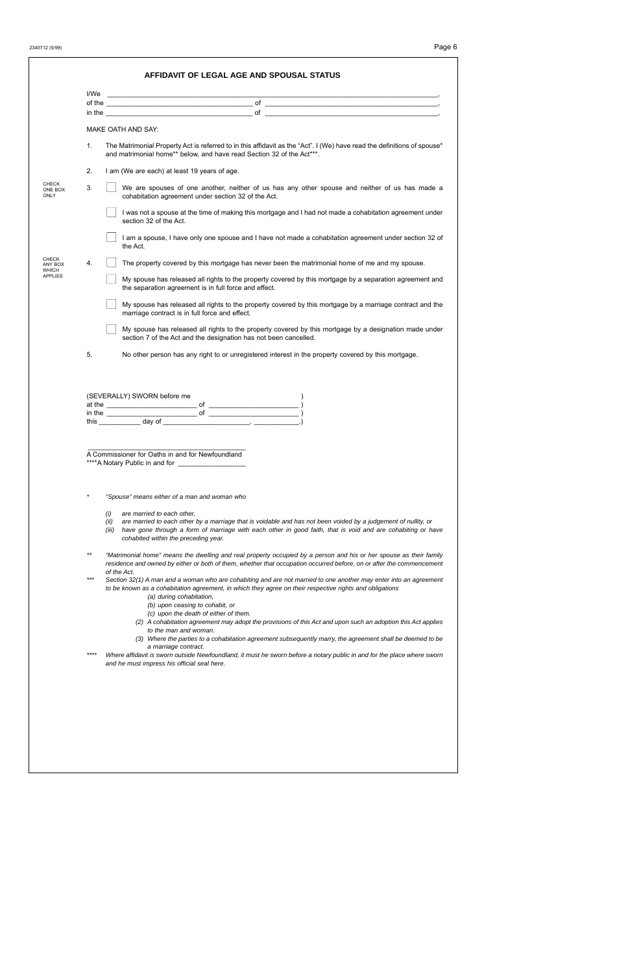2340712 (5/99) Page 6

|                  | in the $\overline{\phantom{a}}$ of $\overline{\phantom{a}}$                                                                                                                                                                                                                                                                                                                                                                                                                                                                                                                                                                                                                                                                                                                                                                                                                    |
|------------------|--------------------------------------------------------------------------------------------------------------------------------------------------------------------------------------------------------------------------------------------------------------------------------------------------------------------------------------------------------------------------------------------------------------------------------------------------------------------------------------------------------------------------------------------------------------------------------------------------------------------------------------------------------------------------------------------------------------------------------------------------------------------------------------------------------------------------------------------------------------------------------|
|                  | MAKE OATH AND SAY.                                                                                                                                                                                                                                                                                                                                                                                                                                                                                                                                                                                                                                                                                                                                                                                                                                                             |
| $\mathbf{1}$ .   | The Matrimonial Property Act is referred to in this affidavit as the "Act". I (We) have read the definitions of spouse*<br>and matrimonial home** below, and have read Section 32 of the Act***.                                                                                                                                                                                                                                                                                                                                                                                                                                                                                                                                                                                                                                                                               |
| 2.               | I am (We are each) at least 19 years of age.                                                                                                                                                                                                                                                                                                                                                                                                                                                                                                                                                                                                                                                                                                                                                                                                                                   |
| 3.               | We are spouses of one another, neither of us has any other spouse and neither of us has made a<br>cohabitation agreement under section 32 of the Act.                                                                                                                                                                                                                                                                                                                                                                                                                                                                                                                                                                                                                                                                                                                          |
|                  | I was not a spouse at the time of making this mortgage and I had not made a cohabitation agreement under<br>section 32 of the Act.                                                                                                                                                                                                                                                                                                                                                                                                                                                                                                                                                                                                                                                                                                                                             |
|                  | I am a spouse, I have only one spouse and I have not made a cohabitation agreement under section 32 of<br>the Act.                                                                                                                                                                                                                                                                                                                                                                                                                                                                                                                                                                                                                                                                                                                                                             |
| $\overline{4}$ . | The property covered by this mortgage has never been the matrimonial home of me and my spouse.                                                                                                                                                                                                                                                                                                                                                                                                                                                                                                                                                                                                                                                                                                                                                                                 |
|                  | My spouse has released all rights to the property covered by this mortgage by a separation agreement and<br>the separation agreement is in full force and effect.                                                                                                                                                                                                                                                                                                                                                                                                                                                                                                                                                                                                                                                                                                              |
|                  | My spouse has released all rights to the property covered by this mortgage by a marriage contract and the<br>marriage contract is in full force and effect.                                                                                                                                                                                                                                                                                                                                                                                                                                                                                                                                                                                                                                                                                                                    |
|                  | My spouse has released all rights to the property covered by this mortgage by a designation made under<br>section 7 of the Act and the designation has not been cancelled.                                                                                                                                                                                                                                                                                                                                                                                                                                                                                                                                                                                                                                                                                                     |
|                  |                                                                                                                                                                                                                                                                                                                                                                                                                                                                                                                                                                                                                                                                                                                                                                                                                                                                                |
| 5.               | No other person has any right to or unregistered interest in the property covered by this mortgage.                                                                                                                                                                                                                                                                                                                                                                                                                                                                                                                                                                                                                                                                                                                                                                            |
| in the           | (SEVERALLY) SWORN before me<br>$of \fbox{$<br>οf                                                                                                                                                                                                                                                                                                                                                                                                                                                                                                                                                                                                                                                                                                                                                                                                                               |
|                  | this $\frac{1}{\cos \theta}$ day of $\frac{1}{\cos \theta}$ and $\frac{1}{\cos \theta}$ and $\frac{1}{\cos \theta}$ and $\frac{1}{\cos \theta}$ and $\frac{1}{\cos \theta}$ and $\frac{1}{\cos \theta}$ and $\frac{1}{\cos \theta}$ and $\frac{1}{\cos \theta}$ and $\frac{1}{\cos \theta}$ and $\frac{1}{\cos \theta}$ and $\frac{1}{\cos \theta}$ and $\frac{1}{\cos \$                                                                                                                                                                                                                                                                                                                                                                                                                                                                                                      |
|                  |                                                                                                                                                                                                                                                                                                                                                                                                                                                                                                                                                                                                                                                                                                                                                                                                                                                                                |
|                  | A Commissioner for Oaths in and for Newfoundland                                                                                                                                                                                                                                                                                                                                                                                                                                                                                                                                                                                                                                                                                                                                                                                                                               |
| $^{\star}$       | "Spouse" means either of a man and woman who                                                                                                                                                                                                                                                                                                                                                                                                                                                                                                                                                                                                                                                                                                                                                                                                                                   |
|                  | (i)<br>are married to each other,                                                                                                                                                                                                                                                                                                                                                                                                                                                                                                                                                                                                                                                                                                                                                                                                                                              |
|                  | (ii)<br>(iii)<br>cohabited within the preceding year.                                                                                                                                                                                                                                                                                                                                                                                                                                                                                                                                                                                                                                                                                                                                                                                                                          |
| $***$            |                                                                                                                                                                                                                                                                                                                                                                                                                                                                                                                                                                                                                                                                                                                                                                                                                                                                                |
| ***              | of the Act.<br>to be known as a cohabitation agreement, in which they agree on their respective rights and obligations<br>(a) during cohabitation,<br>(b) upon ceasing to cohabit, or<br>(c) upon the death of either of them.                                                                                                                                                                                                                                                                                                                                                                                                                                                                                                                                                                                                                                                 |
|                  | are married to each other by a marriage that is voidable and has not been voided by a judgement of nullity, or<br>have gone through a form of marriage with each other in good faith, that is void and are cohabiting or have<br>"Matrimonial home" means the dwelling and real property occupied by a person and his or her spouse as their family<br>residence and owned by either or both of them, whether that occupation occurred before, on or after the commencement<br>Section 32(1) A man and a woman who are cohabiting and are not married to one another may enter into an agreement<br>(2) A cohabitation agreement may adopt the provisions of this Act and upon such an adoption this Act applies<br>to the man and woman.<br>(3) Where the parties to a cohabitation agreement subsequently marry, the agreement shall be deemed to be<br>a marriage contract. |